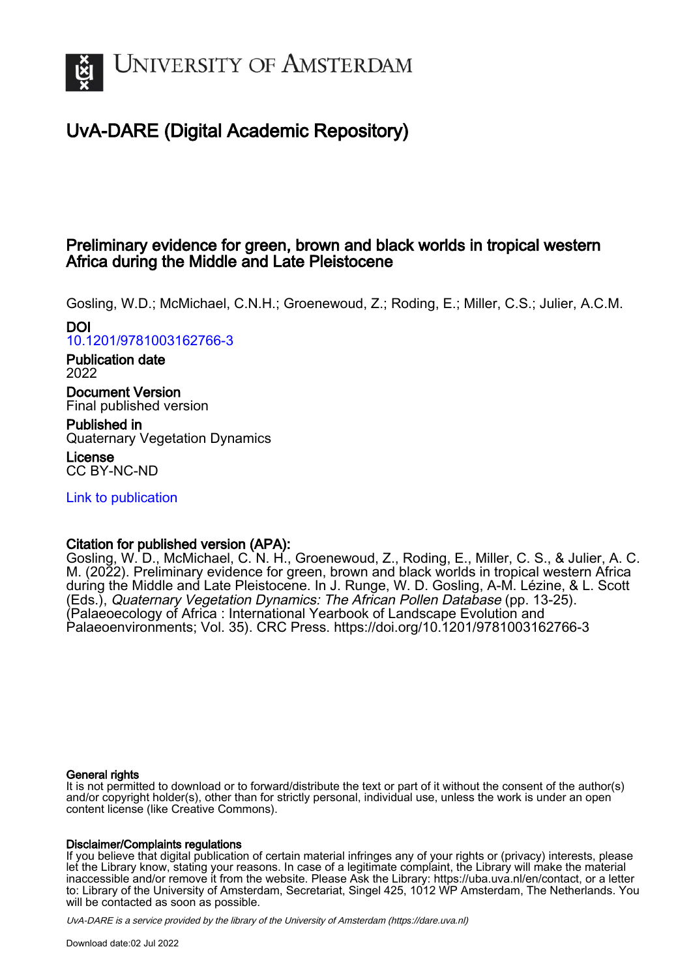

# UvA-DARE (Digital Academic Repository)

# Preliminary evidence for green, brown and black worlds in tropical western Africa during the Middle and Late Pleistocene

Gosling, W.D.; McMichael, C.N.H.; Groenewoud, Z.; Roding, E.; Miller, C.S.; Julier, A.C.M. DOI

[10.1201/9781003162766-3](https://doi.org/10.1201/9781003162766-3)

Publication date 2022

Document Version Final published version

Published in Quaternary Vegetation Dynamics

License CC BY-NC-ND

[Link to publication](https://dare.uva.nl/personal/pure/en/publications/preliminary-evidence-for-green-brown-and-black-worlds-in-tropical-western-africa-during-the-middle-and-late-pleistocene(f5f71e9f-bf1c-41b2-b158-eb95bfd92d24).html)

# Citation for published version (APA):

Gosling, W. D., McMichael, C. N. H., Groenewoud, Z., Roding, E., Miller, C. S., & Julier, A. C. M. (2022). Preliminary evidence for green, brown and black worlds in tropical western Africa during the Middle and Late Pleistocene. In J. Runge, W. D. Gosling, A-M. Lézine, & L. Scott (Eds.), Quaternary Vegetation Dynamics: The African Pollen Database (pp. 13-25). (Palaeoecology of Africa : International Yearbook of Landscape Evolution and Palaeoenvironments; Vol. 35). CRC Press. <https://doi.org/10.1201/9781003162766-3>

# General rights

It is not permitted to download or to forward/distribute the text or part of it without the consent of the author(s) and/or copyright holder(s), other than for strictly personal, individual use, unless the work is under an open content license (like Creative Commons).

# Disclaimer/Complaints regulations

If you believe that digital publication of certain material infringes any of your rights or (privacy) interests, please let the Library know, stating your reasons. In case of a legitimate complaint, the Library will make the material inaccessible and/or remove it from the website. Please Ask the Library: https://uba.uva.nl/en/contact, or a letter to: Library of the University of Amsterdam, Secretariat, Singel 425, 1012 WP Amsterdam, The Netherlands. You will be contacted as soon as possible.

UvA-DARE is a service provided by the library of the University of Amsterdam (http*s*://dare.uva.nl)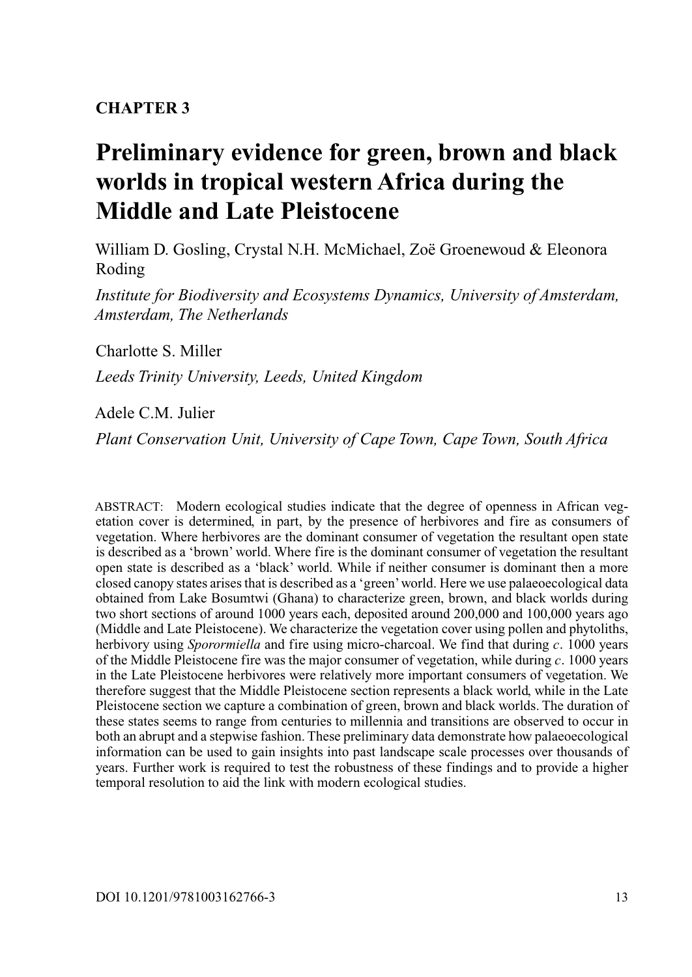# **CHAPTER 3**

# **[Preliminary evidence for green, brown and black](#page--1-0) worlds in tropical western Africa during the Middle and Late Pleistocene**

William D. Gosling, Crystal N.H. McMichael, Zoë Groenewoud & Eleonora Roding

*Institute for Biodiversity and Ecosystems Dynamics, University of Amsterdam, Amsterdam, The Netherlands*

Charlotte S. Miller

*Leeds Trinity University, Leeds, United Kingdom*

Adele C.M. Julier

*Plant Conservation Unit, University of Cape Town, Cape Town, South Africa*

ABSTRACT: Modern ecological studies indicate that the degree of openness in African vegetation cover is determined, in part, by the presence of herbivores and fire as consumers of vegetation. Where herbivores are the dominant consumer of vegetation the resultant open state is described as a 'brown' world. Where fire is the dominant consumer of vegetation the resultant open state is described as a 'black' world. While if neither consumer is dominant then a more closed canopy states arises that is described as a 'green'world. Here we use palaeoecological data obtained from Lake Bosumtwi (Ghana) to characterize green, brown, and black worlds during two short sections of around 1000 years each, deposited around 200,000 and 100,000 years ago (Middle and Late Pleistocene). We characterize the vegetation cover using pollen and phytoliths, herbivory using *Sporormiella* and fire using micro-charcoal. We find that during *c.* 1000 years of the Middle Pleistocene fire was the major consumer of vegetation, while during *c.* 1000 years in the Late Pleistocene herbivores were relatively more important consumers of vegetation. We therefore suggest that the Middle Pleistocene section represents a black world, while in the Late Pleistocene section we capture a combination of green, brown and black worlds. The duration of these states seems to range from centuries to millennia and transitions are observed to occur in both an abrupt and a stepwise fashion. These preliminary data demonstrate how palaeoecological information can be used to gain insights into past landscape scale processes over thousands of years. Further work is required to test the robustness of these findings and to provide a higher temporal resolution to aid the link with modern ecological studies.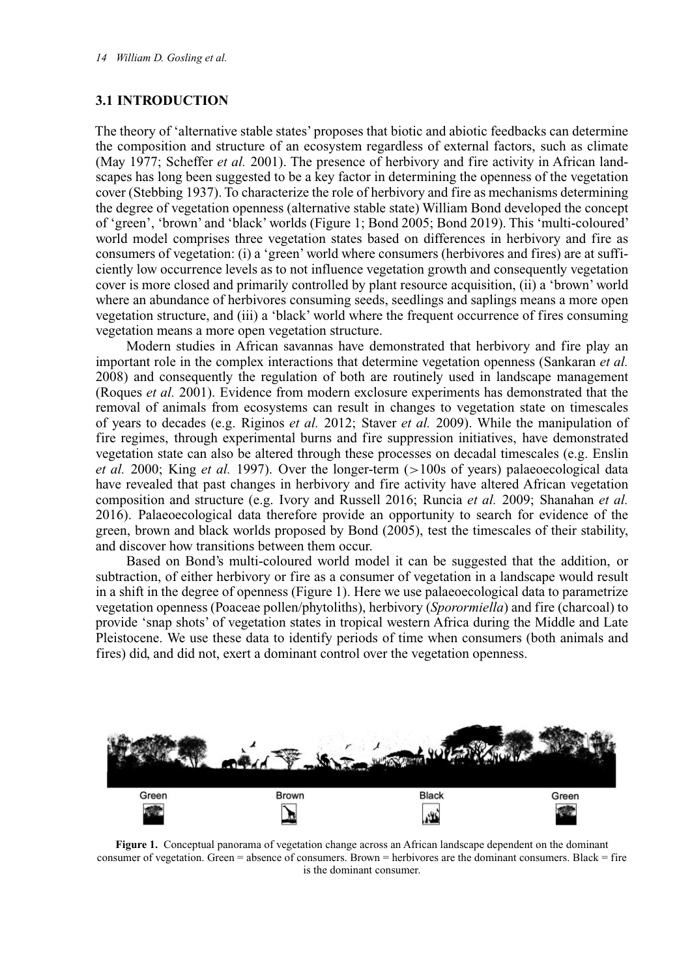#### **3.1 INTRODUCTION**

The theory of 'alternative stable states' proposes that biotic and abiotic feedbacks can determine the composition and structure of an ecosystem regardless of external factors, such as climate (May 1977; Scheffer *et al.* 2001). The presence of herbivory and fire activity in African landscapes has long been suggested to be a key factor in determining the openness of the vegetation cover (Stebbing 1937). To characterize the role of herbivory and fire as mechanisms determining the degree of vegetation openness (alternative stable state) William Bond developed the concept of 'green', 'brown' and 'black' worlds (Figure 1; Bond 2005; Bond 2019). This 'multi-coloured' world model comprises three vegetation states based on differences in herbivory and fire as consumers of vegetation: (i) a 'green' world where consumers (herbivores and fires) are at sufficiently low occurrence levels as to not influence vegetation growth and consequently vegetation cover is more closed and primarily controlled by plant resource acquisition, (ii) a 'brown' world where an abundance of herbivores consuming seeds, seedlings and saplings means a more open vegetation structure, and (iii) a 'black' world where the frequent occurrence of fires consuming vegetation means a more open vegetation structure.

Modern studies in African savannas have demonstrated that herbivory and fire play an important role in the complex interactions that determine vegetation openness (Sankaran *et al.* 2008) and consequently the regulation of both are routinely used in landscape management (Roques *et al.* 2001). Evidence from modern exclosure experiments has demonstrated that the removal of animals from ecosystems can result in changes to vegetation state on timescales of years to decades (e.g. Riginos *et al.* 2012; Staver *et al.* 2009). While the manipulation of fire regimes, through experimental burns and fire suppression initiatives, have demonstrated vegetation state can also be altered through these processes on decadal timescales (e.g. Enslin *et al.* 2000; King *et al.* 1997). Over the longer-term (*>*100s of years) palaeoecological data have revealed that past changes in herbivory and fire activity have altered African vegetation composition and structure (e.g. Ivory and Russell 2016; Runcia *et al.* 2009; Shanahan *et al.* 2016). Palaeoecological data therefore provide an opportunity to search for evidence of the green, brown and black worlds proposed by Bond (2005), test the timescales of their stability, and discover how transitions between them occur.

Based on Bond's multi-coloured world model it can be suggested that the addition, or subtraction, of either herbivory or fire as a consumer of vegetation in a landscape would result in a shift in the degree of openness (Figure 1). Here we use palaeoecological data to parametrize vegetation openness (Poaceae pollen/phytoliths), herbivory (*Sporormiella*) and fire (charcoal) to provide 'snap shots' of vegetation states in tropical western Africa during the Middle and Late Pleistocene. We use these data to identify periods of time when consumers (both animals and fires) did, and did not, exert a dominant control over the vegetation openness.



**Figure 1.** Conceptual panorama of vegetation change across an African landscape dependent on the dominant consumer of vegetation. Green = absence of consumers. Brown = herbivores are the dominant consumers. Black = fire is the dominant consumer.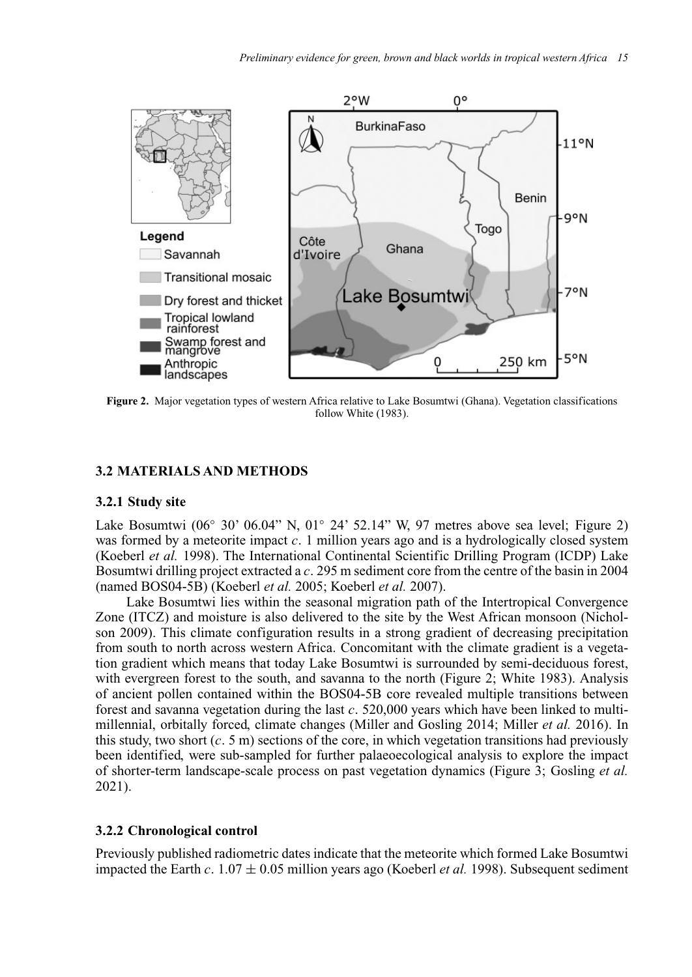

**Figure 2.** Major vegetation types of western Africa relative to Lake Bosumtwi (Ghana). Vegetation classifications follow White (1983).

#### **3.2 MATERIALS AND METHODS**

#### **3.2.1 Study site**

Lake Bosumtwi (06◦ 30' 06.04" N, 01◦ 24' 52.14" W, 97 metres above sea level; Figure 2) was formed by a meteorite impact *c.* 1 million years ago and is a hydrologically closed system (Koeberl *et al.* 1998). The International Continental Scientific Drilling Program (ICDP) Lake Bosumtwi drilling project extracted a *c.* 295 m sediment core from the centre of the basin in 2004 (named BOS04-5B) (Koeberl *et al.* 2005; Koeberl *et al.* 2007).

Lake Bosumtwi lies within the seasonal migration path of the Intertropical Convergence Zone (ITCZ) and moisture is also delivered to the site by the West African monsoon (Nicholson 2009). This climate configuration results in a strong gradient of decreasing precipitation from south to north across western Africa. Concomitant with the climate gradient is a vegetation gradient which means that today Lake Bosumtwi is surrounded by semi-deciduous forest, with evergreen forest to the south, and savanna to the north (Figure 2; White 1983). Analysis of ancient pollen contained within the BOS04-5B core revealed multiple transitions between forest and savanna vegetation during the last *c.* 520,000 years which have been linked to multimillennial, orbitally forced, climate changes (Miller and Gosling 2014; Miller *et al.* 2016). In this study, two short (*c.* 5 m) sections of the core, in which vegetation transitions had previously been identified, were sub-sampled for further palaeoecological analysis to explore the impact of shorter-term landscape-scale process on past vegetation dynamics (Figure 3; Gosling *et al.* 2021).

#### **3.2.2 Chronological control**

Previously published radiometric dates indicate that the meteorite which formed Lake Bosumtwi impacted the Earth *c*.  $1.07 \pm 0.05$  million years ago (Koeberl *et al.* 1998). Subsequent sediment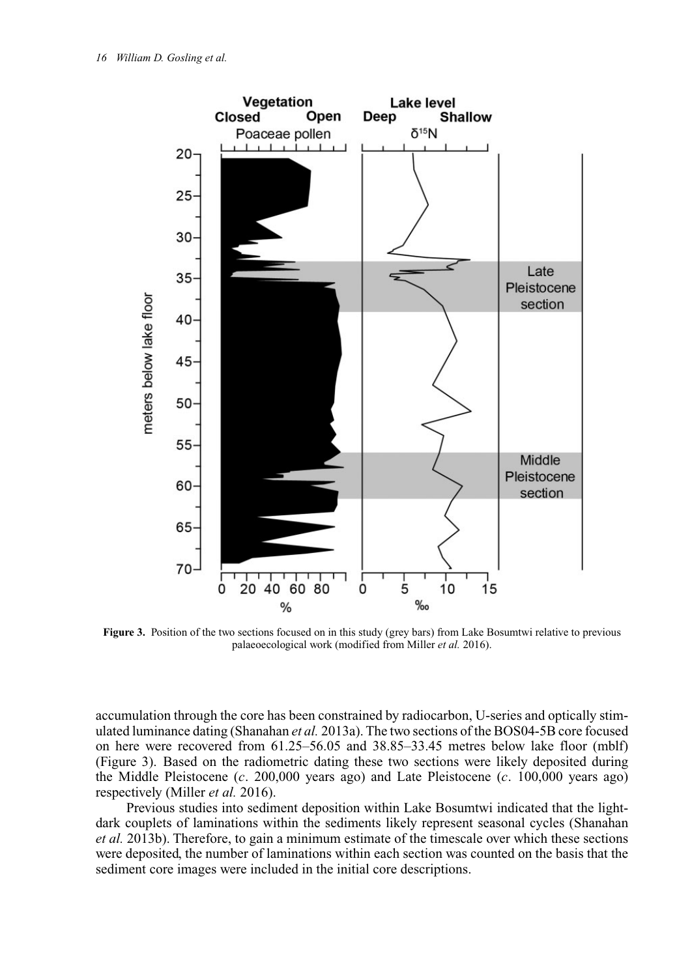

**Figure 3.** Position of the two sections focused on in this study (grey bars) from Lake Bosumtwi relative to previous palaeoecological work (modified from Miller *et al.* 2016).

accumulation through the core has been constrained by radiocarbon, U-series and optically stimulated luminance dating (Shanahan *et al.* 2013a). The two sections of the BOS04-5B core focused on here were recovered from 61.25–56.05 and 38.85–33.45 metres below lake floor (mblf) (Figure 3). Based on the radiometric dating these two sections were likely deposited during the Middle Pleistocene (*c.* 200,000 years ago) and Late Pleistocene (*c.* 100,000 years ago) respectively (Miller *et al.* 2016).

Previous studies into sediment deposition within Lake Bosumtwi indicated that the lightdark couplets of laminations within the sediments likely represent seasonal cycles (Shanahan *et al.* 2013b). Therefore, to gain a minimum estimate of the timescale over which these sections were deposited, the number of laminations within each section was counted on the basis that the sediment core images were included in the initial core descriptions.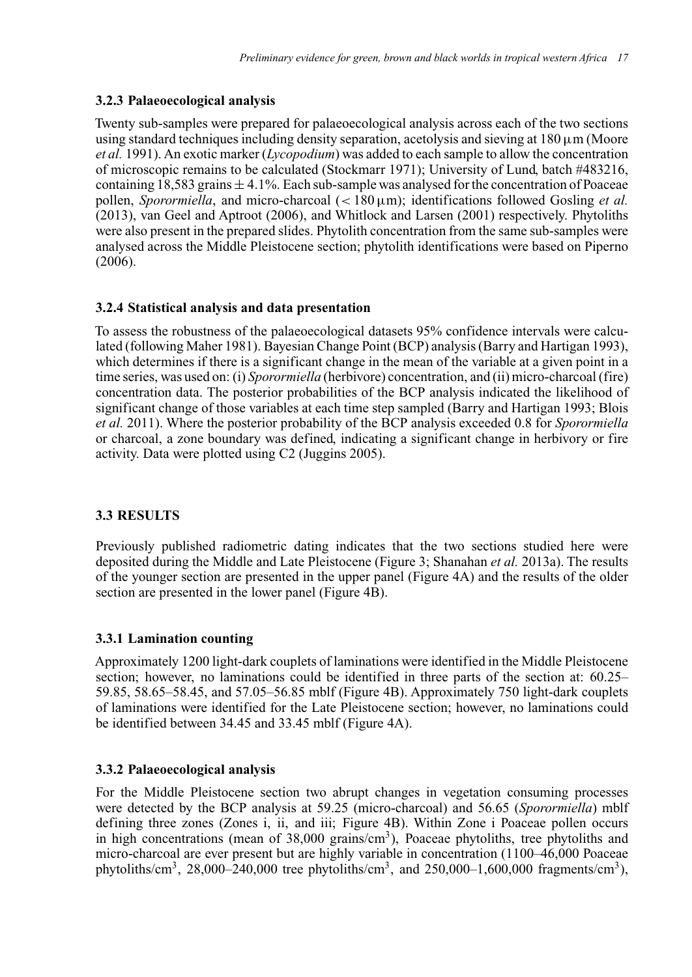### **3.2.3 Palaeoecological analysis**

Twenty sub-samples were prepared for palaeoecological analysis across each of the two sections using standard techniques including density separation, acetolysis and sieving at  $180 \mu m$  (Moore *et al.* 1991). An exotic marker (*Lycopodium*) was added to each sample to allow the concentration of microscopic remains to be calculated (Stockmarr 1971); University of Lund, batch #483216, containing 18,583 grains ± 4*.*1%. Each sub-sample was analysed for the concentration of Poaceae pollen, *Sporormiella*, and micro-charcoal  $(< 180 \,\mu m)$ ; identifications followed Gosling *et al.* (2013), van Geel and Aptroot (2006), and Whitlock and Larsen (2001) respectively. Phytoliths were also present in the prepared slides. Phytolith concentration from the same sub-samples were analysed across the Middle Pleistocene section; phytolith identifications were based on Piperno (2006).

## **3.2.4 Statistical analysis and data presentation**

To assess the robustness of the palaeoecological datasets 95% confidence intervals were calculated (following Maher 1981). Bayesian Change Point (BCP) analysis (Barry and Hartigan 1993), which determines if there is a significant change in the mean of the variable at a given point in a time series, was used on: (i) *Sporormiella* (herbivore) concentration, and (ii) micro-charcoal (fire) concentration data. The posterior probabilities of the BCP analysis indicated the likelihood of significant change of those variables at each time step sampled (Barry and Hartigan 1993; Blois *et al.* 2011). Where the posterior probability of the BCP analysis exceeded 0.8 for *Sporormiella* or charcoal, a zone boundary was defined, indicating a significant change in herbivory or fire activity. Data were plotted using C2 (Juggins 2005).

# **3.3 RESULTS**

Previously published radiometric dating indicates that the two sections studied here were deposited during the Middle and Late Pleistocene (Figure 3; Shanahan *et al.* 2013a). The results of the younger section are presented in the upper panel (Figure 4A) and the results of the older section are presented in the lower panel (Figure 4B).

# **3.3.1 Lamination counting**

Approximately 1200 light-dark couplets of laminations were identified in the Middle Pleistocene section; however, no laminations could be identified in three parts of the section at: 60.25– 59.85, 58.65–58.45, and 57.05–56.85 mblf (Figure 4B). Approximately 750 light-dark couplets of laminations were identified for the Late Pleistocene section; however, no laminations could be identified between 34.45 and 33.45 mblf (Figure 4A).

# **3.3.2 Palaeoecological analysis**

For the Middle Pleistocene section two abrupt changes in vegetation consuming processes were detected by the BCP analysis at 59.25 (micro-charcoal) and 56.65 (*Sporormiella*) mblf defining three zones (Zones i, ii, and iii; Figure 4B). Within Zone i Poaceae pollen occurs in high concentrations (mean of  $38,000$  grains/cm<sup>3</sup>), Poaceae phytoliths, tree phytoliths and micro-charcoal are ever present but are highly variable in concentration (1100–46,000 Poaceae phytoliths/cm<sup>3</sup>, 28,000–240,000 tree phytoliths/cm<sup>3</sup>, and 250,000–1,600,000 fragments/cm<sup>3</sup>),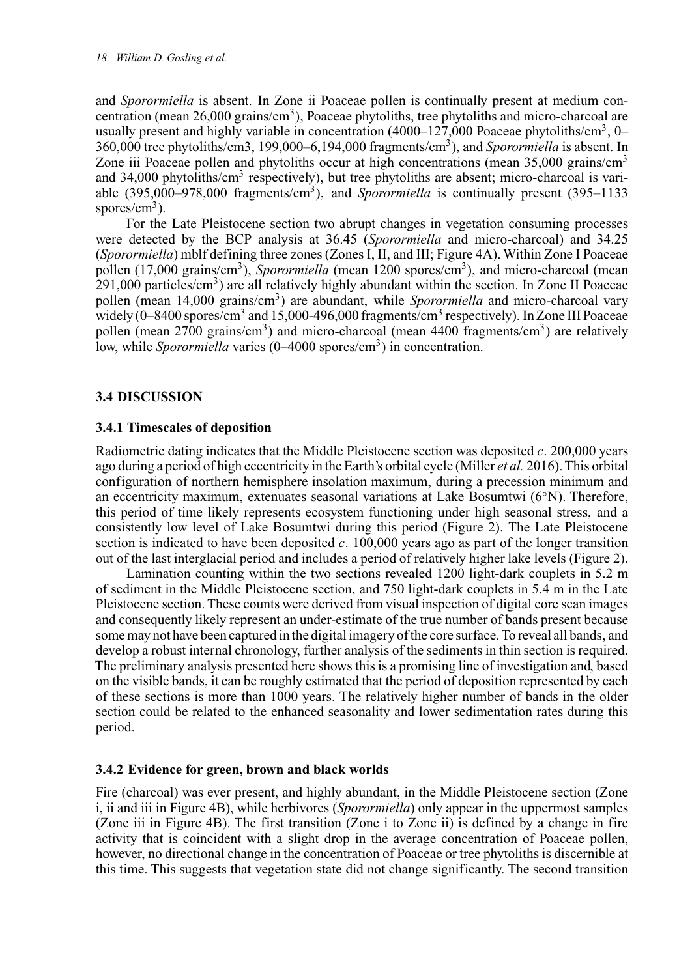and *Sporormiella* is absent. In Zone ii Poaceae pollen is continually present at medium concentration (mean 26,000 grains/cm3), Poaceae phytoliths, tree phytoliths and micro-charcoal are usually present and highly variable in concentration  $(4000-127,000)$  Poaceae phytoliths/cm<sup>3</sup>, 0– 360,000 tree phytoliths/cm3, 199,000–6,194,000 fragments/cm3), and *Sporormiella* is absent. In Zone iii Poaceae pollen and phytoliths occur at high concentrations (mean  $35,000$  grains/cm<sup>3</sup> and  $34,000$  phytoliths/cm<sup>3</sup> respectively), but tree phytoliths are absent; micro-charcoal is variable (395,000–978,000 fragments/cm3), and *Sporormiella* is continually present (395–1133 spores/ $\text{cm}^3$ ).

For the Late Pleistocene section two abrupt changes in vegetation consuming processes were detected by the BCP analysis at 36.45 (*Sporormiella* and micro-charcoal) and 34.25 (*Sporormiella*) mblf defining three zones (Zones I, II, and III; Figure 4A). Within Zone I Poaceae pollen (17,000 grains/cm3), *Sporormiella* (mean 1200 spores/cm3), and micro-charcoal (mean  $291,000$  particles/cm<sup>3</sup>) are all relatively highly abundant within the section. In Zone II Poaceae pollen (mean 14,000 grains/cm3) are abundant, while *Sporormiella* and micro-charcoal vary widely  $(0-8400 \text{ spores/cm}^3$  and  $15,000-496,000 \text{ fragments/cm}^3$  respectively). In Zone III Poaceae pollen (mean  $2700 \text{ grains/cm}^3$ ) and micro-charcoal (mean  $4400 \text{ fragments/cm}^3$ ) are relatively low, while *Sporormiella* varies (0–4000 spores/cm<sup>3</sup>) in concentration.

#### **3.4 DISCUSSION**

#### **3.4.1 Timescales of deposition**

Radiometric dating indicates that the Middle Pleistocene section was deposited *c.* 200,000 years ago during a period of high eccentricity in the Earth's orbital cycle (Miller *et al.* 2016). This orbital configuration of northern hemisphere insolation maximum, during a precession minimum and an eccentricity maximum, extenuates seasonal variations at Lake Bosumtwi (6◦N). Therefore, this period of time likely represents ecosystem functioning under high seasonal stress, and a consistently low level of Lake Bosumtwi during this period (Figure 2). The Late Pleistocene section is indicated to have been deposited *c.* 100,000 years ago as part of the longer transition out of the last interglacial period and includes a period of relatively higher lake levels (Figure 2).

Lamination counting within the two sections revealed 1200 light-dark couplets in 5.2 m of sediment in the Middle Pleistocene section, and 750 light-dark couplets in 5.4 m in the Late Pleistocene section. These counts were derived from visual inspection of digital core scan images and consequently likely represent an under-estimate of the true number of bands present because some may not have been captured in the digital imagery of the core surface. To reveal all bands, and develop a robust internal chronology, further analysis of the sediments in thin section is required. The preliminary analysis presented here shows this is a promising line of investigation and, based on the visible bands, it can be roughly estimated that the period of deposition represented by each of these sections is more than 1000 years. The relatively higher number of bands in the older section could be related to the enhanced seasonality and lower sedimentation rates during this period.

#### **3.4.2 Evidence for green, brown and black worlds**

Fire (charcoal) was ever present, and highly abundant, in the Middle Pleistocene section (Zone i, ii and iii in Figure 4B), while herbivores (*Sporormiella*) only appear in the uppermost samples (Zone iii in Figure 4B). The first transition (Zone i to Zone ii) is defined by a change in fire activity that is coincident with a slight drop in the average concentration of Poaceae pollen, however, no directional change in the concentration of Poaceae or tree phytoliths is discernible at this time. This suggests that vegetation state did not change significantly. The second transition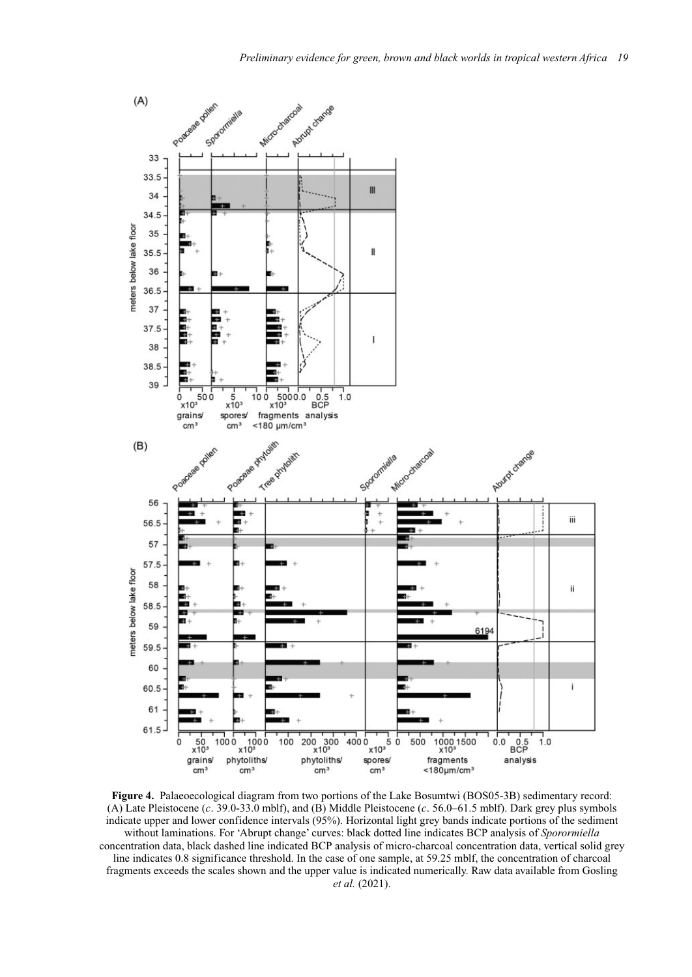

**Figure 4.** Palaeoecological diagram from two portions of the Lake Bosumtwi (BOS05-3B) sedimentary record: (A) Late Pleistocene (*c.* 39.0-33.0 mblf), and (B) Middle Pleistocene (*c.* 56.0–61.5 mblf). Dark grey plus symbols indicate upper and lower confidence intervals (95%). Horizontal light grey bands indicate portions of the sediment without laminations. For 'Abrupt change' curves: black dotted line indicates BCP analysis of *Sporormiella* concentration data, black dashed line indicated BCP analysis of micro-charcoal concentration data, vertical solid grey line indicates 0.8 significance threshold. In the case of one sample, at 59.25 mblf, the concentration of charcoal fragments exceeds the scales shown and the upper value is indicated numerically. Raw data available from Gosling *et al.* (2021).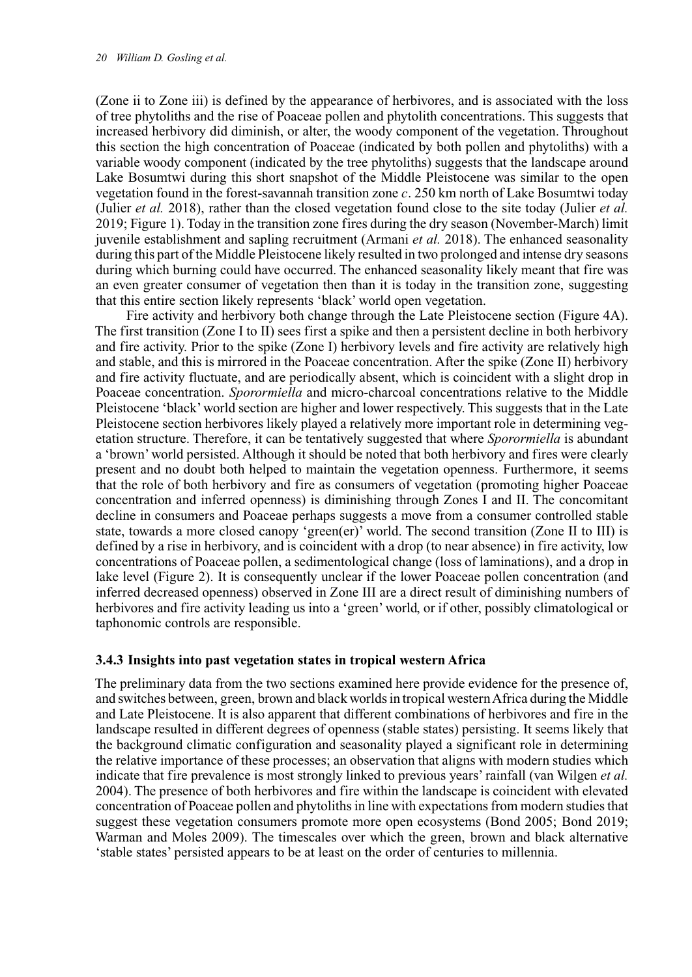(Zone ii to Zone iii) is defined by the appearance of herbivores, and is associated with the loss of tree phytoliths and the rise of Poaceae pollen and phytolith concentrations. This suggests that increased herbivory did diminish, or alter, the woody component of the vegetation. Throughout this section the high concentration of Poaceae (indicated by both pollen and phytoliths) with a variable woody component (indicated by the tree phytoliths) suggests that the landscape around Lake Bosumtwi during this short snapshot of the Middle Pleistocene was similar to the open vegetation found in the forest-savannah transition zone *c.* 250 km north of Lake Bosumtwi today (Julier *et al.* 2018), rather than the closed vegetation found close to the site today (Julier *et al.* 2019; Figure 1). Today in the transition zone fires during the dry season (November-March) limit juvenile establishment and sapling recruitment (Armani *et al.* 2018). The enhanced seasonality during this part of the Middle Pleistocene likely resulted in two prolonged and intense dry seasons during which burning could have occurred. The enhanced seasonality likely meant that fire was an even greater consumer of vegetation then than it is today in the transition zone, suggesting that this entire section likely represents 'black' world open vegetation.

Fire activity and herbivory both change through the Late Pleistocene section (Figure 4A). The first transition (Zone I to II) sees first a spike and then a persistent decline in both herbivory and fire activity. Prior to the spike (Zone I) herbivory levels and fire activity are relatively high and stable, and this is mirrored in the Poaceae concentration. After the spike (Zone II) herbivory and fire activity fluctuate, and are periodically absent, which is coincident with a slight drop in Poaceae concentration. *Sporormiella* and micro-charcoal concentrations relative to the Middle Pleistocene 'black' world section are higher and lower respectively. This suggests that in the Late Pleistocene section herbivores likely played a relatively more important role in determining vegetation structure. Therefore, it can be tentatively suggested that where *Sporormiella* is abundant a 'brown' world persisted. Although it should be noted that both herbivory and fires were clearly present and no doubt both helped to maintain the vegetation openness. Furthermore, it seems that the role of both herbivory and fire as consumers of vegetation (promoting higher Poaceae concentration and inferred openness) is diminishing through Zones I and II. The concomitant decline in consumers and Poaceae perhaps suggests a move from a consumer controlled stable state, towards a more closed canopy 'green(er)' world. The second transition (Zone II to III) is defined by a rise in herbivory, and is coincident with a drop (to near absence) in fire activity, low concentrations of Poaceae pollen, a sedimentological change (loss of laminations), and a drop in lake level (Figure 2). It is consequently unclear if the lower Poaceae pollen concentration (and inferred decreased openness) observed in Zone III are a direct result of diminishing numbers of herbivores and fire activity leading us into a 'green' world, or if other, possibly climatological or taphonomic controls are responsible.

#### **3.4.3 Insights into past vegetation states in tropical western Africa**

The preliminary data from the two sections examined here provide evidence for the presence of, and switches between, green, brown and black worlds in tropical westernAfrica during the Middle and Late Pleistocene. It is also apparent that different combinations of herbivores and fire in the landscape resulted in different degrees of openness (stable states) persisting. It seems likely that the background climatic configuration and seasonality played a significant role in determining the relative importance of these processes; an observation that aligns with modern studies which indicate that fire prevalence is most strongly linked to previous years' rainfall (van Wilgen *et al.* 2004). The presence of both herbivores and fire within the landscape is coincident with elevated concentration of Poaceae pollen and phytoliths in line with expectations from modern studies that suggest these vegetation consumers promote more open ecosystems (Bond 2005; Bond 2019; Warman and Moles 2009). The timescales over which the green, brown and black alternative 'stable states' persisted appears to be at least on the order of centuries to millennia.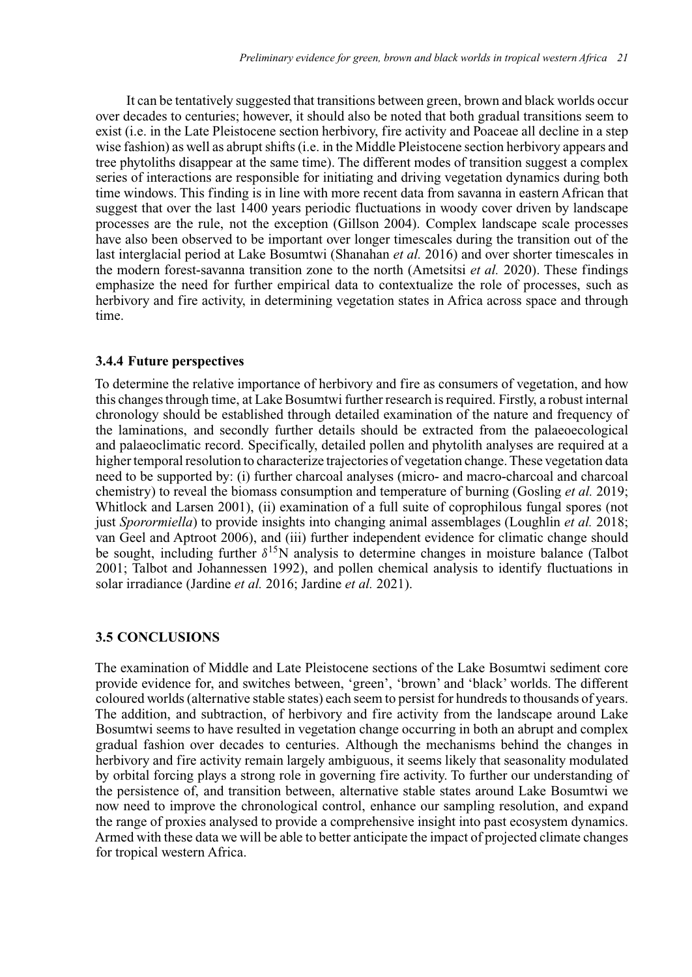It can be tentatively suggested that transitions between green, brown and black worlds occur over decades to centuries; however, it should also be noted that both gradual transitions seem to exist (i.e. in the Late Pleistocene section herbivory, fire activity and Poaceae all decline in a step wise fashion) as well as abrupt shifts (i.e. in the Middle Pleistocene section herbivory appears and tree phytoliths disappear at the same time). The different modes of transition suggest a complex series of interactions are responsible for initiating and driving vegetation dynamics during both time windows. This finding is in line with more recent data from savanna in eastern African that suggest that over the last 1400 years periodic fluctuations in woody cover driven by landscape processes are the rule, not the exception (Gillson 2004). Complex landscape scale processes have also been observed to be important over longer timescales during the transition out of the last interglacial period at Lake Bosumtwi (Shanahan *et al.* 2016) and over shorter timescales in the modern forest-savanna transition zone to the north (Ametsitsi *et al.* 2020). These findings emphasize the need for further empirical data to contextualize the role of processes, such as herbivory and fire activity, in determining vegetation states in Africa across space and through time.

#### **3.4.4 Future perspectives**

To determine the relative importance of herbivory and fire as consumers of vegetation, and how this changes through time, at Lake Bosumtwi further research is required. Firstly, a robust internal chronology should be established through detailed examination of the nature and frequency of the laminations, and secondly further details should be extracted from the palaeoecological and palaeoclimatic record. Specifically, detailed pollen and phytolith analyses are required at a higher temporal resolution to characterize trajectories of vegetation change. These vegetation data need to be supported by: (i) further charcoal analyses (micro- and macro-charcoal and charcoal chemistry) to reveal the biomass consumption and temperature of burning (Gosling *et al.* 2019; Whitlock and Larsen 2001), (ii) examination of a full suite of coprophilous fungal spores (not just *Sporormiella*) to provide insights into changing animal assemblages (Loughlin *et al.* 2018; van Geel and Aptroot 2006), and (iii) further independent evidence for climatic change should be sought, including further *δ*15N analysis to determine changes in moisture balance (Talbot 2001; Talbot and Johannessen 1992), and pollen chemical analysis to identify fluctuations in solar irradiance (Jardine *et al.* 2016; Jardine *et al.* 2021).

#### **3.5 CONCLUSIONS**

The examination of Middle and Late Pleistocene sections of the Lake Bosumtwi sediment core provide evidence for, and switches between, 'green', 'brown' and 'black' worlds. The different coloured worlds (alternative stable states) each seem to persist for hundreds to thousands of years. The addition, and subtraction, of herbivory and fire activity from the landscape around Lake Bosumtwi seems to have resulted in vegetation change occurring in both an abrupt and complex gradual fashion over decades to centuries. Although the mechanisms behind the changes in herbivory and fire activity remain largely ambiguous, it seems likely that seasonality modulated by orbital forcing plays a strong role in governing fire activity. To further our understanding of the persistence of, and transition between, alternative stable states around Lake Bosumtwi we now need to improve the chronological control, enhance our sampling resolution, and expand the range of proxies analysed to provide a comprehensive insight into past ecosystem dynamics. Armed with these data we will be able to better anticipate the impact of projected climate changes for tropical western Africa.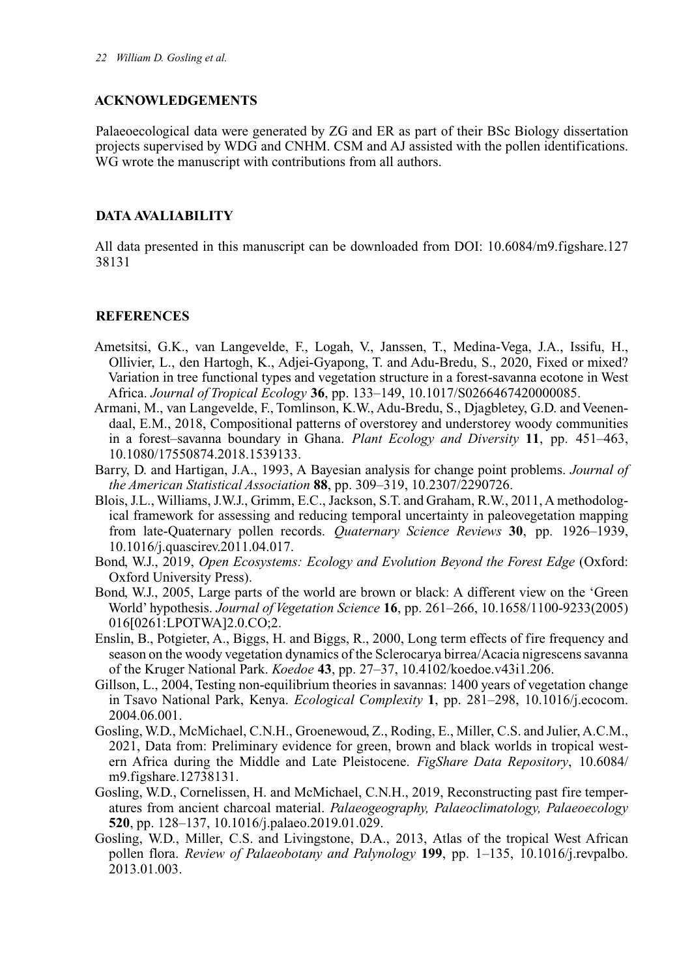### **ACKNOWLEDGEMENTS**

Palaeoecological data were generated by ZG and ER as part of their BSc Biology dissertation projects supervised by WDG and CNHM. CSM and AJ assisted with the pollen identifications. WG wrote the manuscript with contributions from all authors.

# **DATA AVALIABILITY**

All data presented in this manuscript can be downloaded from DOI: 10.6084/m9.figshare.127 38131

## **REFERENCES**

- Ametsitsi, G.K., van Langevelde, F., Logah, V., Janssen, T., Medina-Vega, J.A., Issifu, H., Ollivier, L., den Hartogh, K., Adjei-Gyapong, T. and Adu-Bredu, S., 2020, Fixed or mixed? Variation in tree functional types and vegetation structure in a forest-savanna ecotone in West Africa. *Journal of Tropical Ecology* **36**, pp. 133–149, 10.1017/S0266467420000085.
- Armani, M., van Langevelde, F., Tomlinson, K.W., Adu-Bredu, S., Djagbletey, G.D. and Veenendaal, E.M., 2018, Compositional patterns of overstorey and understorey woody communities in a forest–savanna boundary in Ghana. *Plant Ecology and Diversity* **11**, pp. 451–463, 10.1080/17550874.2018.1539133.
- Barry, D. and Hartigan, J.A., 1993, A Bayesian analysis for change point problems. *Journal of the American Statistical Association* **88**, pp. 309–319, 10.2307/2290726.
- Blois, J.L., Williams, J.W.J., Grimm, E.C., Jackson, S.T. and Graham, R.W., 2011, A methodological framework for assessing and reducing temporal uncertainty in paleovegetation mapping from late-Quaternary pollen records. *Quaternary Science Reviews* **30**, pp. 1926–1939, 10.1016/j.quascirev.2011.04.017.
- Bond, W.J., 2019, *Open Ecosystems: Ecology and Evolution Beyond the Forest Edge* (Oxford: Oxford University Press).
- Bond, W.J., 2005, Large parts of the world are brown or black: A different view on the 'Green World' hypothesis. *Journal of Vegetation Science* **16**, pp. 261–266, 10.1658/1100-9233(2005) 016[0261:LPOTWA]2.0.CO;2.
- Enslin, B., Potgieter, A., Biggs, H. and Biggs, R., 2000, Long term effects of fire frequency and season on the woody vegetation dynamics of the Sclerocarya birrea/Acacia nigrescens savanna of the Kruger National Park. *Koedoe* **43**, pp. 27–37, 10.4102/koedoe.v43i1.206.
- Gillson, L., 2004, Testing non-equilibrium theories in savannas: 1400 years of vegetation change in Tsavo National Park, Kenya. *Ecological Complexity* **1**, pp. 281–298, 10.1016/j.ecocom. 2004.06.001.
- Gosling, W.D., McMichael, C.N.H., Groenewoud, Z., Roding, E., Miller, C.S. and Julier, A.C.M., 2021, Data from: Preliminary evidence for green, brown and black worlds in tropical western Africa during the Middle and Late Pleistocene. *FigShare Data Repository*, 10.6084/ m9.figshare.12738131.
- Gosling, W.D., Cornelissen, H. and McMichael, C.N.H., 2019, Reconstructing past fire temperatures from ancient charcoal material. *Palaeogeography, Palaeoclimatology, Palaeoecology* **520**, pp. 128–137, 10.1016/j.palaeo.2019.01.029.
- Gosling, W.D., Miller, C.S. and Livingstone, D.A., 2013, Atlas of the tropical West African pollen flora. *Review of Palaeobotany and Palynology* **199**, pp. 1–135, 10.1016/j.revpalbo. 2013.01.003.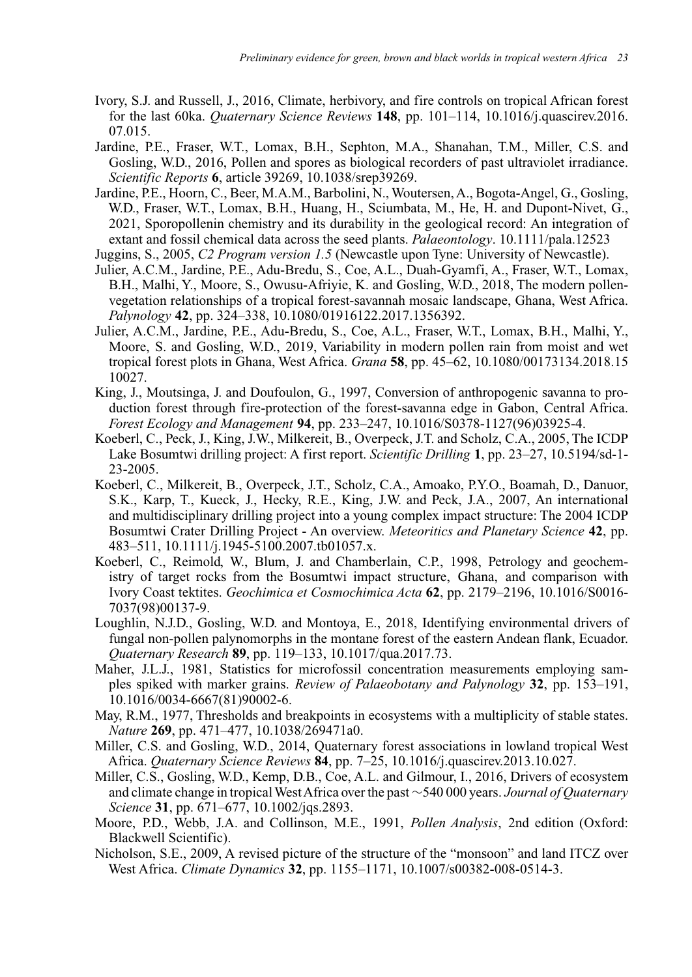- Ivory, S.J. and Russell, J., 2016, Climate, herbivory, and fire controls on tropical African forest for the last 60ka. *Quaternary Science Reviews* **148**, pp. 101–114, 10.1016/j.quascirev.2016. 07.015.
- Jardine, P.E., Fraser, W.T., Lomax, B.H., Sephton, M.A., Shanahan, T.M., Miller, C.S. and Gosling, W.D., 2016, Pollen and spores as biological recorders of past ultraviolet irradiance. *Scientific Reports* **6**, article 39269, 10.1038/srep39269.
- Jardine, P.E., Hoorn, C., Beer, M.A.M., Barbolini, N., Woutersen, A., Bogota-Angel, G., Gosling, W.D., Fraser, W.T., Lomax, B.H., Huang, H., Sciumbata, M., He, H. and Dupont-Nivet, G., 2021, Sporopollenin chemistry and its durability in the geological record: An integration of extant and fossil chemical data across the seed plants. *Palaeontology*. 10.1111/pala.12523

Juggins, S., 2005, *C2 Program version 1.5* (Newcastle upon Tyne: University of Newcastle).

- Julier, A.C.M., Jardine, P.E., Adu-Bredu, S., Coe, A.L., Duah-Gyamfi, A., Fraser, W.T., Lomax, B.H., Malhi, Y., Moore, S., Owusu-Afriyie, K. and Gosling, W.D., 2018, The modern pollenvegetation relationships of a tropical forest-savannah mosaic landscape, Ghana, West Africa. *Palynology* **42**, pp. 324–338, 10.1080/01916122.2017.1356392.
- Julier, A.C.M., Jardine, P.E., Adu-Bredu, S., Coe, A.L., Fraser, W.T., Lomax, B.H., Malhi, Y., Moore, S. and Gosling, W.D., 2019, Variability in modern pollen rain from moist and wet tropical forest plots in Ghana, West Africa. *Grana* **58**, pp. 45–62, 10.1080/00173134.2018.15 10027.
- King, J., Moutsinga, J. and Doufoulon, G., 1997, Conversion of anthropogenic savanna to production forest through fire-protection of the forest-savanna edge in Gabon, Central Africa. *Forest Ecology and Management* **94**, pp. 233–247, 10.1016/S0378-1127(96)03925-4.
- Koeberl, C., Peck, J., King, J.W., Milkereit, B., Overpeck, J.T. and Scholz, C.A., 2005, The ICDP Lake Bosumtwi drilling project: A first report. *Scientific Drilling* **1**, pp. 23–27, 10.5194/sd-1- 23-2005.
- Koeberl, C., Milkereit, B., Overpeck, J.T., Scholz, C.A., Amoako, P.Y.O., Boamah, D., Danuor, S.K., Karp, T., Kueck, J., Hecky, R.E., King, J.W. and Peck, J.A., 2007, An international and multidisciplinary drilling project into a young complex impact structure: The 2004 ICDP Bosumtwi Crater Drilling Project - An overview. *Meteoritics and Planetary Science* **42**, pp. 483–511, 10.1111/j.1945-5100.2007.tb01057.x.
- Koeberl, C., Reimold, W., Blum, J. and Chamberlain, C.P., 1998, Petrology and geochemistry of target rocks from the Bosumtwi impact structure, Ghana, and comparison with Ivory Coast tektites. *Geochimica et Cosmochimica Acta* **62**, pp. 2179–2196, 10.1016/S0016- 7037(98)00137-9.
- Loughlin, N.J.D., Gosling, W.D. and Montoya, E., 2018, Identifying environmental drivers of fungal non-pollen palynomorphs in the montane forest of the eastern Andean flank, Ecuador. *Quaternary Research* **89**, pp. 119–133, 10.1017/qua.2017.73.
- Maher, J.L.J., 1981, Statistics for microfossil concentration measurements employing samples spiked with marker grains. *Review of Palaeobotany and Palynology* **32**, pp. 153–191, 10.1016/0034-6667(81)90002-6.
- May, R.M., 1977, Thresholds and breakpoints in ecosystems with a multiplicity of stable states. *Nature* **269**, pp. 471–477, 10.1038/269471a0.
- Miller, C.S. and Gosling, W.D., 2014, Quaternary forest associations in lowland tropical West Africa. *Quaternary Science Reviews* **84**, pp. 7–25, 10.1016/j.quascirev.2013.10.027.
- Miller, C.S., Gosling, W.D., Kemp, D.B., Coe, A.L. and Gilmour, I., 2016, Drivers of ecosystem and climate change in tropical WestAfrica over the past ∼540 000 years. *Journal of Quaternary Science* **31**, pp. 671–677, 10.1002/jqs.2893.
- Moore, P.D., Webb, J.A. and Collinson, M.E., 1991, *Pollen Analysis*, 2nd edition (Oxford: Blackwell Scientific).
- Nicholson, S.E., 2009, A revised picture of the structure of the "monsoon" and land ITCZ over West Africa. *Climate Dynamics* **32**, pp. 1155–1171, 10.1007/s00382-008-0514-3.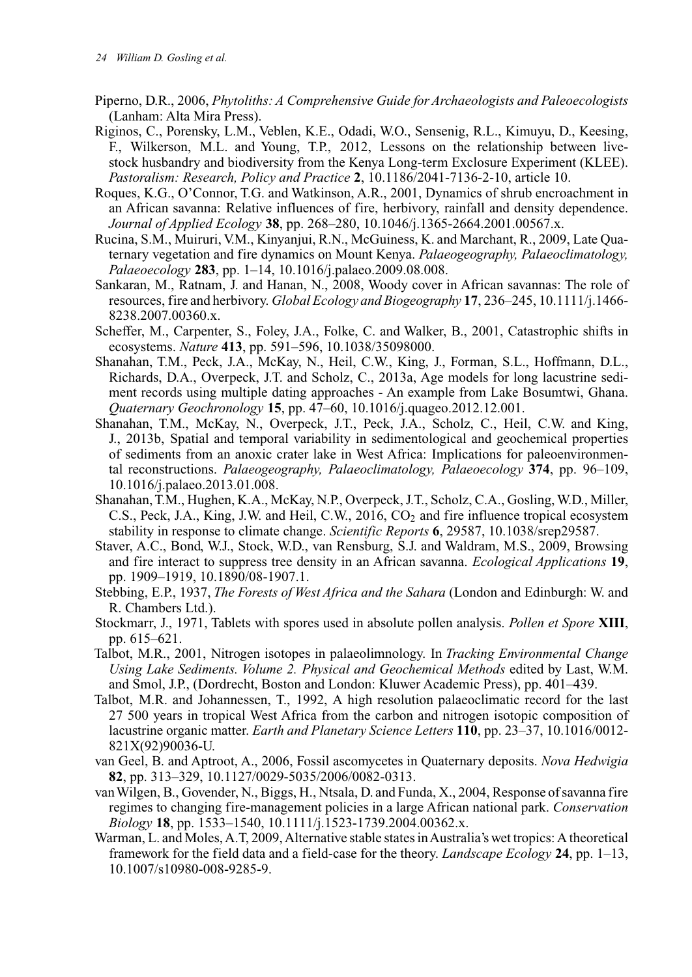- Piperno, D.R., 2006, *Phytoliths: A Comprehensive Guide for Archaeologists and Paleoecologists* (Lanham: Alta Mira Press).
- Riginos, C., Porensky, L.M., Veblen, K.E., Odadi, W.O., Sensenig, R.L., Kimuyu, D., Keesing, F., Wilkerson, M.L. and Young, T.P., 2012, Lessons on the relationship between livestock husbandry and biodiversity from the Kenya Long-term Exclosure Experiment (KLEE). *Pastoralism: Research, Policy and Practice* **2**, 10.1186/2041-7136-2-10, article 10.
- Roques, K.G., O'Connor, T.G. and Watkinson, A.R., 2001, Dynamics of shrub encroachment in an African savanna: Relative influences of fire, herbivory, rainfall and density dependence. *Journal of Applied Ecology* **38**, pp. 268–280, 10.1046/j.1365-2664.2001.00567.x.
- Rucina, S.M., Muiruri, V.M., Kinyanjui, R.N., McGuiness, K. and Marchant, R., 2009, Late Quaternary vegetation and fire dynamics on Mount Kenya. *Palaeogeography, Palaeoclimatology, Palaeoecology* **283**, pp. 1–14, 10.1016/j.palaeo.2009.08.008.
- Sankaran, M., Ratnam, J. and Hanan, N., 2008, Woody cover in African savannas: The role of resources, fire and herbivory. *Global Ecology and Biogeography* **17**, 236–245, 10.1111/j.1466- 8238.2007.00360.x.
- Scheffer, M., Carpenter, S., Foley, J.A., Folke, C. and Walker, B., 2001, Catastrophic shifts in ecosystems. *Nature* **413**, pp. 591–596, 10.1038/35098000.
- Shanahan, T.M., Peck, J.A., McKay, N., Heil, C.W., King, J., Forman, S.L., Hoffmann, D.L., Richards, D.A., Overpeck, J.T. and Scholz, C., 2013a, Age models for long lacustrine sediment records using multiple dating approaches - An example from Lake Bosumtwi, Ghana. *Quaternary Geochronology* **15**, pp. 47–60, 10.1016/j.quageo.2012.12.001.
- Shanahan, T.M., McKay, N., Overpeck, J.T., Peck, J.A., Scholz, C., Heil, C.W. and King, J., 2013b, Spatial and temporal variability in sedimentological and geochemical properties of sediments from an anoxic crater lake in West Africa: Implications for paleoenvironmental reconstructions. *Palaeogeography, Palaeoclimatology, Palaeoecology* **374**, pp. 96–109, 10.1016/j.palaeo.2013.01.008.
- Shanahan, T.M., Hughen, K.A., McKay, N.P., Overpeck, J.T., Scholz, C.A., Gosling, W.D., Miller, C.S., Peck, J.A., King, J.W. and Heil, C.W., 2016, CO<sub>2</sub> and fire influence tropical ecosystem stability in response to climate change. *Scientific Reports* **6**, 29587, 10.1038/srep29587.
- Staver, A.C., Bond, W.J., Stock, W.D., van Rensburg, S.J. and Waldram, M.S., 2009, Browsing and fire interact to suppress tree density in an African savanna. *Ecological Applications* **19**, pp. 1909–1919, 10.1890/08-1907.1.
- Stebbing, E.P., 1937, *The Forests of West Africa and the Sahara* (London and Edinburgh: W. and R. Chambers Ltd.).
- Stockmarr, J., 1971, Tablets with spores used in absolute pollen analysis. *Pollen et Spore* **XIII**, pp. 615–621.
- Talbot, M.R., 2001, Nitrogen isotopes in palaeolimnology. In *Tracking Environmental Change Using Lake Sediments. Volume 2. Physical and Geochemical Methods* edited by Last, W.M. and Smol, J.P., (Dordrecht, Boston and London: Kluwer Academic Press), pp. 401–439.
- Talbot, M.R. and Johannessen, T., 1992, A high resolution palaeoclimatic record for the last 27 500 years in tropical West Africa from the carbon and nitrogen isotopic composition of lacustrine organic matter. *Earth and Planetary Science Letters* **110**, pp. 23–37, 10.1016/0012- 821X(92)90036-U.
- van Geel, B. and Aptroot, A., 2006, Fossil ascomycetes in Quaternary deposits. *Nova Hedwigia* **82**, pp. 313–329, 10.1127/0029-5035/2006/0082-0313.
- vanWilgen, B., Govender, N., Biggs, H., Ntsala, D. and Funda, X., 2004, Response of savanna fire regimes to changing fire-management policies in a large African national park. *Conservation Biology* **18**, pp. 1533–1540, 10.1111/j.1523-1739.2004.00362.x.
- Warman, L. and Moles, A.T, 2009, Alternative stable states in Australia's wet tropics: A theoretical framework for the field data and a field-case for the theory. *Landscape Ecology* **24**, pp. 1–13, 10.1007/s10980-008-9285-9.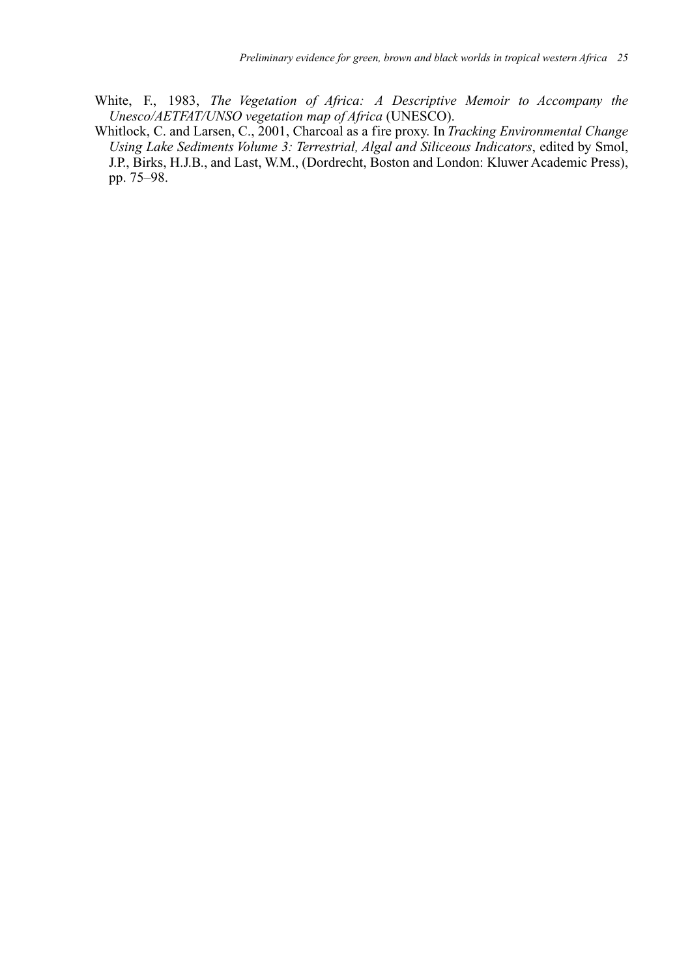- White, F., 1983, *The Vegetation of Africa: A Descriptive Memoir to Accompany the Unesco/AETFAT/UNSO vegetation map of Africa* (UNESCO).
- Whitlock, C. and Larsen, C., 2001, Charcoal as a fire proxy. In *Tracking Environmental Change Using Lake Sediments Volume 3: Terrestrial, Algal and Siliceous Indicators*, edited by Smol, J.P., Birks, H.J.B., and Last, W.M., (Dordrecht, Boston and London: Kluwer Academic Press), pp. 75–98.